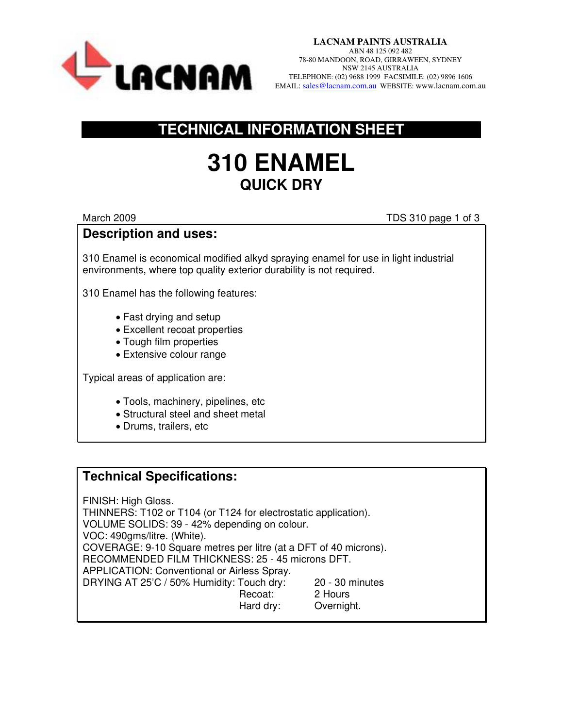

**LACNAM PAINTS AUSTRALIA**  ABN 48 125 092 482 78-80 MANDOON, ROAD, GIRRAWEEN, SYDNEY NSW 2145 AUSTRALIA TELEPHONE: (02) 9688 1999 FACSIMILE: (02) 9896 1606 EMAIL: [sales@lacnam.com.au](mailto:sales@lacnam.com.au) WEBSITE: www.lacnam.com.au

## **TECHNICAL INFORMATION SHEET**

# **310 ENAMEL QUICK DRY**

March 2009 TDS 310 page 1 of 3

#### **Description and uses:**

310 Enamel is economical modified alkyd spraying enamel for use in light industrial environments, where top quality exterior durability is not required.

310 Enamel has the following features:

- Fast drying and setup
- Excellent recoat properties
- Tough film properties
- Extensive colour range

Typical areas of application are:

- Tools, machinery, pipelines, etc
- Structural steel and sheet metal
- Drums, trailers, etc

## **Technical Specifications:**

FINISH: High Gloss. THINNERS: T102 or T104 (or T124 for electrostatic application). VOLUME SOLIDS: 39 - 42% depending on colour. VOC: 490gms/litre. (White). COVERAGE: 9-10 Square metres per litre (at a DFT of 40 microns). RECOMMENDED FILM THICKNESS: 25 - 45 microns DFT. APPLICATION: Conventional or Airless Spray. DRYING AT 25'C / 50% Humidity: Touch dry: 20 - 30 minutes Recoat: 2 Hours Hard dry: Overnight.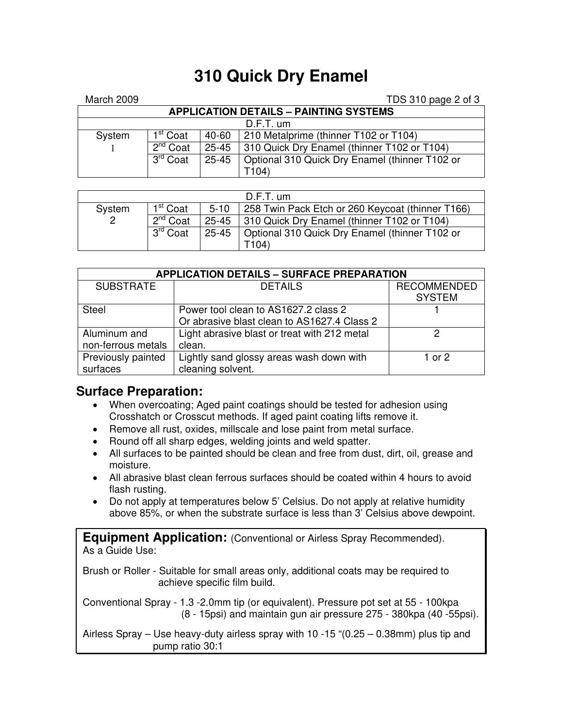## **310 Quick Dry Enamel**

| March 2009                                    |                      |           | TDS 310 page 2 of 3                            |  |  |  |  |
|-----------------------------------------------|----------------------|-----------|------------------------------------------------|--|--|--|--|
| <b>APPLICATION DETAILS - PAINTING SYSTEMS</b> |                      |           |                                                |  |  |  |  |
| $D.F.T.$ um                                   |                      |           |                                                |  |  |  |  |
| System                                        | I <sup>st</sup> Coat | 40-60     | 210 Metalprime (thinner T102 or T104)          |  |  |  |  |
|                                               | $2^{nd}$ Coat        | $25 - 45$ | 310 Quick Dry Enamel (thinner T102 or T104)    |  |  |  |  |
|                                               | 3 <sup>rd</sup> Coat | $25 - 45$ | Optional 310 Quick Dry Enamel (thinner T102 or |  |  |  |  |
|                                               |                      |           | T104)                                          |  |  |  |  |

| $D.F.T.$ um |                         |        |                                                        |  |  |  |
|-------------|-------------------------|--------|--------------------------------------------------------|--|--|--|
| System      | 1 <sup>st</sup> Coat    | $5-10$ | 258 Twin Pack Etch or 260 Keycoat (thinner T166)       |  |  |  |
| 2           | $2^{nd}$ Coat           |        | 25-45   310 Quick Dry Enamel (thinner T102 or T104)    |  |  |  |
|             | 3 <sup>rd</sup><br>Coat |        | 25-45   Optional 310 Quick Dry Enamel (thinner T102 or |  |  |  |
|             |                         |        | T104)                                                  |  |  |  |

| <b>APPLICATION DETAILS - SURFACE PREPARATION</b> |                                              |                                     |  |  |  |  |
|--------------------------------------------------|----------------------------------------------|-------------------------------------|--|--|--|--|
| <b>SUBSTRATE</b>                                 | <b>DETAILS</b>                               | <b>RECOMMENDED</b><br><b>SYSTEM</b> |  |  |  |  |
| <b>Steel</b>                                     | Power tool clean to AS1627.2 class 2         |                                     |  |  |  |  |
|                                                  | Or abrasive blast clean to AS1627.4 Class 2  |                                     |  |  |  |  |
| Aluminum and                                     | Light abrasive blast or treat with 212 metal | 2                                   |  |  |  |  |
| non-ferrous metals                               | clean.                                       |                                     |  |  |  |  |
| Previously painted                               | Lightly sand glossy areas wash down with     | 1 or 2                              |  |  |  |  |
| surfaces                                         | cleaning solvent.                            |                                     |  |  |  |  |

#### **Surface Preparation:**

- When overcoating; Aged paint coatings should be tested for adhesion using Crosshatch or Crosscut methods. If aged paint coating lifts remove it.
- Remove all rust, oxides, millscale and lose paint from metal surface.
- Round off all sharp edges, welding joints and weld spatter.
- All surfaces to be painted should be clean and free from dust, dirt, oil, grease and moisture.
- All abrasive blast clean ferrous surfaces should be coated within 4 hours to avoid flash rusting.
- Do not apply at temperatures below 5' Celsius. Do not apply at relative humidity above 85%, or when the substrate surface is less than 3' Celsius above dewpoint.

**Equipment Application:** (Conventional or Airless Spray Recommended). As a Guide Use:

Brush or Roller - Suitable for small areas only, additional coats may be required to achieve specific film build.

Conventional Spray - 1.3 -2.0mm tip (or equivalent). Pressure pot set at 55 - 100kpa (8 - 15psi) and maintain gun air pressure 275 - 380kpa (40 -55psi).

Airless Spray – Use heavy-duty airless spray with 10 -15 "(0.25 – 0.38mm) plus tip and pump ratio 30:1